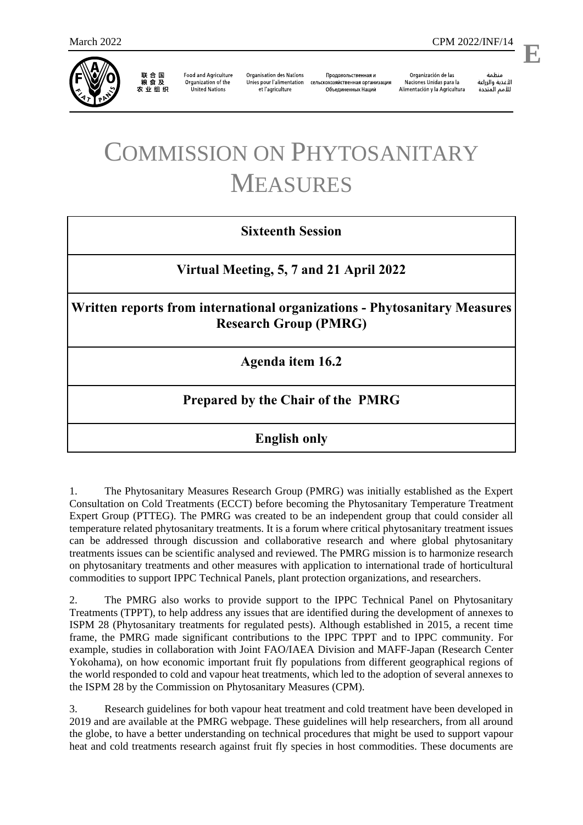

联 合 国<br>粮 食 及 农业组织

**Food and Agriculture** Organization of the **United Nations** 

**Organisation des Nations** Unies pour l'alimentation et l'agriculture

Продовольственная и сельскохозяйственная организация Объелиненных Наций

Organización de las Naciones Unidas para la Alimentación y la Agricultura

منظمة الأغذية والزراعة للأمم المتحدة

l,

**E**

## COMMISSION ON PHYTOSANITARY MEASURES

## **Sixteenth Session**

**Virtual Meeting, 5, 7 and 21 April 2022**

**Written reports from international organizations - Phytosanitary Measures Research Group (PMRG)** 

**Agenda item 16.2**

## **Prepared by the Chair of the PMRG**

**English only**

1. The Phytosanitary Measures Research Group (PMRG) was initially established as the Expert Consultation on Cold Treatments (ECCT) before becoming the Phytosanitary Temperature Treatment Expert Group (PTTEG). The PMRG was created to be an independent group that could consider all temperature related phytosanitary treatments. It is a forum where critical phytosanitary treatment issues can be addressed through discussion and collaborative research and where global phytosanitary treatments issues can be scientific analysed and reviewed. The PMRG mission is to harmonize research on phytosanitary treatments and other measures with application to international trade of horticultural commodities to support IPPC Technical Panels, plant protection organizations, and researchers.

2. The PMRG also works to provide support to the IPPC Technical Panel on Phytosanitary Treatments (TPPT), to help address any issues that are identified during the development of annexes to ISPM 28 (Phytosanitary treatments for regulated pests). Although established in 2015, a recent time frame, the PMRG made significant contributions to the IPPC TPPT and to IPPC community. For example, studies in collaboration with Joint FAO/IAEA Division and MAFF-Japan (Research Center Yokohama), on how economic important fruit fly populations from different geographical regions of the world responded to cold and vapour heat treatments, which led to the adoption of several annexes to the ISPM 28 by the Commission on Phytosanitary Measures (CPM).

3. Research guidelines for both vapour heat treatment and cold treatment have been developed in 2019 and are available at the PMRG webpage. These guidelines will help researchers, from all around the globe, to have a better understanding on technical procedures that might be used to support vapour heat and cold treatments research against fruit fly species in host commodities. These documents are